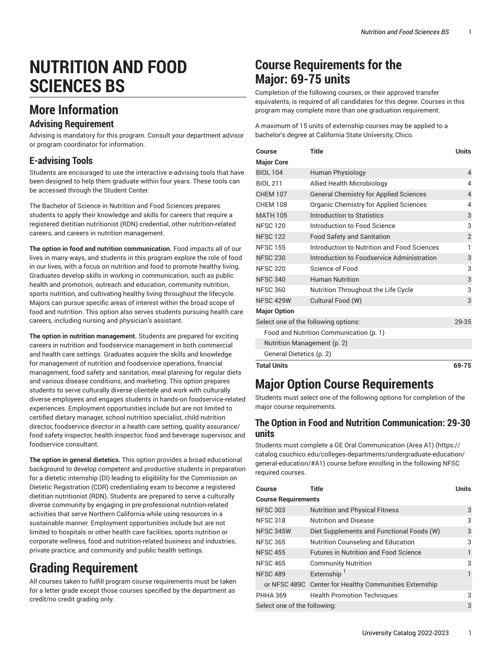# **NUTRITION AND FOOD SCIENCES BS**

## **More Information**

### **Advising Requirement**

Advising is mandatory for this program. Consult your department advisor or program coordinator for information.

### **E-advising Tools**

Students are encouraged to use the interactive e-advising tools that have been designed to help them graduate within four years. These tools can be accessed through the Student Center.

The Bachelor of Science in Nutrition and Food Sciences prepares students to apply their knowledge and skills for careers that require a registered dietitian nutritionist (RDN) credential, other nutrition-related careers, and careers in nutrition management.

**The option in food and nutrition communication.** Food impacts all of our lives in many ways, and students in this program explore the role of food in our lives, with a focus on nutrition and food to promote healthy living. Graduates develop skills in working in communication, such as public health and promotion, outreach and education, community nutrition, sports nutrition, and cultivating healthy living throughout the lifecycle. Majors can pursue specific areas of interest within the broad scope of food and nutrition. This option also serves students pursuing health care careers, including nursing and physician's assistant.

**The option in nutrition management.** Students are prepared for exciting careers in nutrition and foodservice management in both commercial and health care settings. Graduates acquire the skills and knowledge for management of nutrition and foodservice operations, financial management, food safety and sanitation, meal planning for regular diets and various disease conditions, and marketing. This option prepares students to serve culturally diverse clientele and work with culturally diverse employees and engages students in hands-on foodservice-related experiences. Employment opportunities include but are not limited to certified dietary manager, school nutrition specialist, child nutrition director, foodservice director in a health care setting, quality assurance/ food safety inspector, health inspector, food and beverage supervisor, and foodservice consultant.

**The option in general dietetics.** This option provides a broad educational background to develop competent and productive students in preparation for a dietetic internship (DI) leading to eligibility for the Commission on Dietetic Registration (CDR) credentialing exam to become a registered dietitian nutritionist (RDN). Students are prepared to serve a culturally diverse community by engaging in pre-professional nutrition-related activities that serve Northern California while using resources in a sustainable manner. Employment opportunities include but are not limited to hospitals or other health care facilities, sports nutrition or corporate wellness, food and nutrition-related business and industries, private practice, and community and public health settings.

## **Grading Requirement**

All courses taken to fulfill program course requirements must be taken for a letter grade except those courses specified by the department as credit/no credit grading only.

## **Course Requirements for the Major: 69-75 units**

Completion of the following courses, or their approved transfer equivalents, is required of all candidates for this degree. Courses in this program may complete more than one graduation requirement.

A maximum of 15 units of externship courses may be applied to a bachelor's degree at California State University, Chico.

| Course                      | <b>Title</b>                                  | <b>Units</b> |
|-----------------------------|-----------------------------------------------|--------------|
| <b>Major Core</b>           |                                               |              |
| <b>BIOL 104</b>             | Human Physiology                              | 4            |
| <b>BIOL 211</b>             | Allied Health Microbiology                    | 4            |
| <b>CHEM 107</b>             | <b>General Chemistry for Applied Sciences</b> | 4            |
| <b>CHFM 108</b>             | Organic Chemistry for Applied Sciences        | 4            |
| <b>MATH 105</b>             | Introduction to Statistics                    | 3            |
| <b>NFSC 120</b>             | Introduction to Food Science                  | 3            |
| <b>NFSC 122</b>             | <b>Food Safety and Sanitation</b>             | 2            |
| <b>NFSC 155</b>             | Introduction to Nutrition and Food Sciences   | 1            |
| <b>NFSC 230</b>             | Introduction to Foodservice Administration    | 3            |
| <b>NFSC 320</b>             | Science of Food                               | 3            |
| <b>NFSC 340</b>             | <b>Human Nutrition</b>                        | 3            |
| <b>NFSC 360</b>             | Nutrition Throughout the Life Cycle           | 3            |
| <b>NFSC 429W</b>            | Cultural Food (W)                             | 3            |
| <b>Major Option</b>         |                                               |              |
|                             | Select one of the following options:          | 29-35        |
|                             | Food and Nutrition Communication (p. 1)       |              |
| Nutrition Management (p. 2) |                                               |              |
| General Dietetics (p. 2)    |                                               |              |
| <b>Total Units</b>          |                                               | 69-75        |

## **Major Option Course Requirements**

Students must select one of the following options for completion of the major course requirements.

### <span id="page-0-0"></span>**The Option in Food and Nutrition Communication: 29-30 units**

Students must complete a GE Oral [Communication](https://catalog.csuchico.edu/colleges-departments/undergraduate-education/general-education/#A1) (Area A1) [\(https://](https://catalog.csuchico.edu/colleges-departments/undergraduate-education/general-education/#A1) [catalog.csuchico.edu/colleges-departments/undergraduate-education/](https://catalog.csuchico.edu/colleges-departments/undergraduate-education/general-education/#A1) [general-education/#A1](https://catalog.csuchico.edu/colleges-departments/undergraduate-education/general-education/#A1)) course before enrolling in the following NFSC required courses.

| <b>Course</b>                | Title                                                  | <b>Units</b> |
|------------------------------|--------------------------------------------------------|--------------|
| <b>Course Requirements</b>   |                                                        |              |
| <b>NFSC 303</b>              | <b>Nutrition and Physical Fitness</b>                  | 3            |
| <b>NFSC 318</b>              | <b>Nutrition and Disease</b>                           | 3            |
| <b>NFSC 345W</b>             | Diet Supplements and Functional Foods (W)              | 3            |
| <b>NFSC 365</b>              | Nutrition Counseling and Education                     | 3            |
| <b>NFSC 455</b>              | <b>Futures in Nutrition and Food Science</b>           |              |
| <b>NFSC 465</b>              | <b>Community Nutrition</b>                             | 3            |
| <b>NFSC 489</b>              | Externship <sup>1</sup>                                | 1            |
|                              | or NFSC 489C Center for Healthy Communities Externship |              |
| <b>PHHA 369</b>              | <b>Health Promotion Techniques</b>                     | 3            |
| Select one of the following: |                                                        | 3            |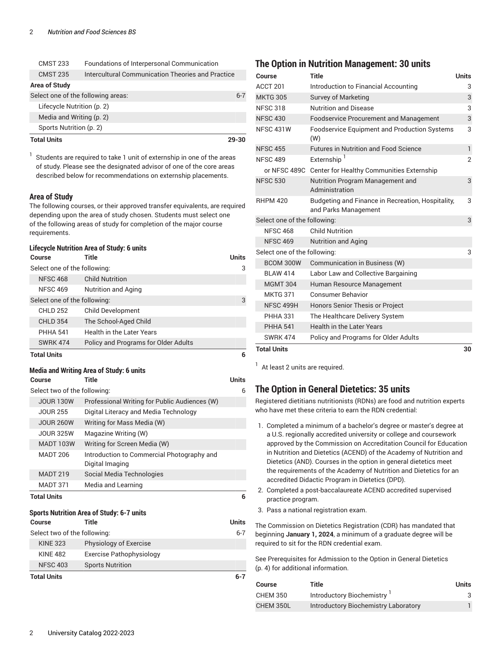| <b>CMST 233</b>      | Foundations of Interpersonal Communication        |         |
|----------------------|---------------------------------------------------|---------|
| <b>CMST 235</b>      | Intercultural Communication Theories and Practice |         |
| <b>Area of Study</b> |                                                   |         |
|                      | Select one of the following areas:                | $6 - 7$ |
|                      | Lifecycle Nutrition (p. 2)                        |         |
|                      | Media and Writing (p. 2)                          |         |
|                      | Sports Nutrition (p. 2)                           |         |
| <b>Total Units</b>   |                                                   | 29-30   |

1 Students are required to take 1 unit of externship in one of the areas of study. Please see the designated advisor of one of the core areas described below for recommendations on externship placements.

#### **Area of Study**

The following courses, or their approved transfer equivalents, are required depending upon the area of study chosen. Students must select one of the following areas of study for completion of the major course requirements.

#### <span id="page-1-2"></span>**Lifecycle Nutrition Area of Study: 6 units**

| Course                       | Title                                | <b>Units</b> |
|------------------------------|--------------------------------------|--------------|
| Select one of the following: |                                      | 3            |
| <b>NFSC 468</b>              | <b>Child Nutrition</b>               |              |
| <b>NFSC 469</b>              | <b>Nutrition and Aging</b>           |              |
| Select one of the following: |                                      | 3            |
| <b>CHLD 252</b>              | <b>Child Development</b>             |              |
| <b>CHLD 354</b>              | The School-Aged Child                |              |
| <b>PHHA 541</b>              | Health in the Later Years            |              |
| <b>SWRK 474</b>              | Policy and Programs for Older Adults |              |
| <b>Total Units</b>           |                                      | 6            |

#### <span id="page-1-3"></span>**Media and Writing Area of Study: 6 units**

| Course                       | <b>Title</b>                                                  | <b>Units</b> |
|------------------------------|---------------------------------------------------------------|--------------|
| Select two of the following: |                                                               |              |
| <b>JOUR 130W</b>             | Professional Writing for Public Audiences (W)                 |              |
| <b>JOUR 255</b>              | Digital Literacy and Media Technology                         |              |
| <b>JOUR 260W</b>             | Writing for Mass Media (W)                                    |              |
| JOUR 325W                    | Magazine Writing (W)                                          |              |
| <b>MADT 103W</b>             | Writing for Screen Media (W)                                  |              |
| <b>MADT 206</b>              | Introduction to Commercial Photography and<br>Digital Imaging |              |
| <b>MADT 219</b>              | Social Media Technologies                                     |              |
| <b>MADT 371</b>              | Media and Learning                                            |              |
| <b>Total Units</b>           |                                                               | 6            |
|                              | <b>Sports Nutrition Area of Study: 6-7 units</b>              |              |
| Course                       | Title                                                         | <b>Units</b> |
| Select two of the following: |                                                               | $6 - 7$      |
| <b>KINE 323</b>              | Physiology of Exercise                                        |              |
| <b>KINF 482</b>              | Exercise Pathophysiology                                      |              |
| <b>NFSC 403</b>              | <b>Sports Nutrition</b>                                       |              |

#### <span id="page-1-4"></span>**Total Units 6-7**

### <span id="page-1-0"></span>**The Option in Nutrition Management: 30 units**

| Course                       | Title                                                                     | <b>Units</b>   |
|------------------------------|---------------------------------------------------------------------------|----------------|
| ACCT <sub>201</sub>          | Introduction to Financial Accounting                                      | 3              |
| <b>MKTG 305</b>              | <b>Survey of Marketing</b>                                                | 3              |
| <b>NFSC 318</b>              | <b>Nutrition and Disease</b>                                              | 3              |
| <b>NFSC 430</b>              | <b>Foodservice Procurement and Management</b>                             | 3              |
| <b>NFSC 431W</b>             | <b>Foodservice Equipment and Production Systems</b><br>(W)                | 3              |
| <b>NFSC 455</b>              | <b>Futures in Nutrition and Food Science</b>                              | $\mathbf{1}$   |
| <b>NFSC 489</b>              | Externship <sup>1</sup>                                                   | $\overline{2}$ |
|                              | or NFSC 489C Center for Healthy Communities Externship                    |                |
| <b>NFSC 530</b>              | Nutrition Program Management and<br>Administration                        | 3              |
| <b>RHPM 420</b>              | Budgeting and Finance in Recreation, Hospitality,<br>and Parks Management | 3              |
| Select one of the following: |                                                                           | 3              |
| <b>NFSC 468</b>              | <b>Child Nutrition</b>                                                    |                |
| <b>NFSC 469</b>              | <b>Nutrition and Aging</b>                                                |                |
| Select one of the following: |                                                                           | 3              |
| BCOM 300W                    | Communication in Business (W)                                             |                |
| <b>BI AW 414</b>             | Labor Law and Collective Bargaining                                       |                |
| <b>MGMT 304</b>              | Human Resource Management                                                 |                |
| <b>MKTG 371</b>              | <b>Consumer Behavior</b>                                                  |                |
| NFSC 499H                    | <b>Honors Senior Thesis or Project</b>                                    |                |
| <b>PHHA 331</b>              | The Healthcare Delivery System                                            |                |
| <b>PHHA 541</b>              | <b>Health in the Later Years</b>                                          |                |
| <b>SWRK 474</b>              | Policy and Programs for Older Adults                                      |                |
| <b>Total Units</b>           |                                                                           | 30             |

 $<sup>1</sup>$  At least 2 units are required.</sup>

### <span id="page-1-1"></span>**The Option in General Dietetics: 35 units**

Registered dietitians nutritionists (RDNs) are food and nutrition experts who have met these criteria to earn the RDN credential:

- 1. Completed a minimum of a bachelor's degree or master's degree at a U.S. regionally accredited university or college and coursework approved by the Commission on Accreditation Council for Education in Nutrition and Dietetics (ACEND) of the Academy of Nutrition and Dietetics (AND). Courses in the option in general dietetics meet the requirements of the Academy of Nutrition and Dietetics for an accredited Didactic Program in Dietetics (DPD).
- 2. Completed a post-baccalaureate ACEND accredited supervised practice program.
- 3. Pass a national registration exam.

The Commission on Dietetics Registration (CDR) has mandated that beginning **January 1, 2024**, a minimum of a graduate degree will be required to sit for the RDN credential exam.

See [Prerequisites](#page-3-0) for Admission to the Option in General Dietetics [\(p. 4](#page-3-0)) for additional information.

| Course          | Title                                | <b>Units</b> |
|-----------------|--------------------------------------|--------------|
| <b>CHEM 350</b> | Introductory Biochemistry            |              |
| CHEM 350L       | Introductory Biochemistry Laboratory |              |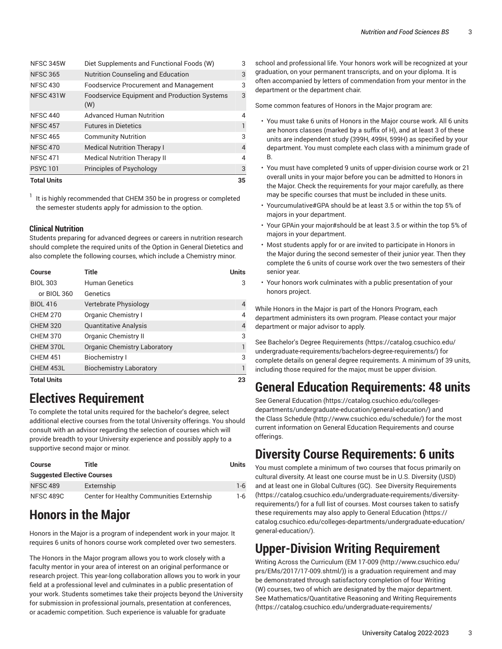| <b>Total Units</b> |                                                            | 35             |
|--------------------|------------------------------------------------------------|----------------|
| <b>PSYC101</b>     | Principles of Psychology                                   | 3              |
| <b>NFSC 471</b>    | <b>Medical Nutrition Therapy II</b>                        | $\overline{4}$ |
| <b>NFSC 470</b>    | <b>Medical Nutrition Therapy I</b>                         | $\overline{4}$ |
| <b>NFSC 465</b>    | <b>Community Nutrition</b>                                 | 3              |
| <b>NFSC 457</b>    | <b>Futures in Dietetics</b>                                | $\mathbf{1}$   |
| <b>NFSC 440</b>    | <b>Advanced Human Nutrition</b>                            | 4              |
| <b>NFSC 431W</b>   | <b>Foodservice Equipment and Production Systems</b><br>(W) | 3              |
| <b>NFSC 430</b>    | <b>Foodservice Procurement and Management</b>              | 3              |
| <b>NFSC 365</b>    | <b>Nutrition Counseling and Education</b>                  | 3              |
| NFSC 345W          | Diet Supplements and Functional Foods (W)                  | 3              |

1 It is highly recommended that CHEM 350 be in progress or completed the semester students apply for admission to the option.

#### **Clinical Nutrition**

Students preparing for advanced degrees or careers in nutrition research should complete the required units of the Option in General Dietetics and also complete the following courses, which include a Chemistry minor.

| Course             | Title                               | <b>Units</b> |
|--------------------|-------------------------------------|--------------|
| <b>BIOL 303</b>    | <b>Human Genetics</b>               | 3            |
| or BIOL 360        | Genetics                            |              |
| <b>BIOL 416</b>    | Vertebrate Physiology               | 4            |
| <b>CHEM 270</b>    | Organic Chemistry I                 | 4            |
| <b>CHEM 320</b>    | <b>Quantitative Analysis</b>        | 4            |
| <b>CHEM 370</b>    | <b>Organic Chemistry II</b>         | 3            |
| CHEM 370L          | <b>Organic Chemistry Laboratory</b> |              |
| <b>CHEM 451</b>    | <b>Biochemistry I</b>               | 3            |
| CHEM 453L          | <b>Biochemistry Laboratory</b>      |              |
| <b>Total Units</b> |                                     | 23           |

### **Electives Requirement**

To complete the total units required for the bachelor's degree, select additional elective courses from the total University offerings. You should consult with an advisor regarding the selection of courses which will provide breadth to your University experience and possibly apply to a supportive second major or minor.

| Course                            | Title                                     | Units   |
|-----------------------------------|-------------------------------------------|---------|
| <b>Suggested Elective Courses</b> |                                           |         |
| <b>NFSC 489</b>                   | Externship                                | $1 - 6$ |
| NFSC 489C                         | Center for Healthy Communities Externship | 1-6     |

## **Honors in the Major**

Honors in the Major is a program of independent work in your major. It requires 6 units of honors course work completed over two semesters.

The Honors in the Major program allows you to work closely with a faculty mentor in your area of interest on an original performance or research project. This year-long collaboration allows you to work in your field at a professional level and culminates in a public presentation of your work. Students sometimes take their projects beyond the University for submission in professional journals, presentation at conferences, or academic competition. Such experience is valuable for graduate

school and professional life. Your honors work will be recognized at your graduation, on your permanent transcripts, and on your diploma. It is often accompanied by letters of commendation from your mentor in the department or the department chair.

Some common features of Honors in the Major program are:

- You must take 6 units of Honors in the Major course work. All 6 units are honors classes (marked by a suffix of H), and at least 3 of these units are independent study (399H, 499H, 599H) as specified by your department. You must complete each class with a minimum grade of B.
- You must have completed 9 units of upper-division course work or 21 overall units in your major before you can be admitted to Honors in the Major. Check the requirements for your major carefully, as there may be specific courses that must be included in these units.
- Yourcumulative#GPA should be at least 3.5 or within the top 5% of majors in your department.
- Your GPAin your major#should be at least 3.5 or within the top 5% of majors in your department.
- Most students apply for or are invited to participate in Honors in the Major during the second semester of their junior year. Then they complete the 6 units of course work over the two semesters of their senior year.
- Your honors work culminates with a public presentation of your honors project.

While Honors in the Major is part of the Honors Program, each department administers its own program. Please contact your major department or major advisor to apply.

See Bachelor's Degree [Requirements \(https://catalog.csuchico.edu/](https://catalog.csuchico.edu/undergraduate-requirements/bachelors-degree-requirements/) [undergraduate-requirements/bachelors-degree-requirements/](https://catalog.csuchico.edu/undergraduate-requirements/bachelors-degree-requirements/)) for complete details on general degree requirements. A minimum of 39 units, including those required for the major, must be upper division.

## **General Education Requirements: 48 units**

See General [Education \(https://catalog.csuchico.edu/colleges](https://catalog.csuchico.edu/colleges-departments/undergraduate-education/general-education/)[departments/undergraduate-education/general-education/\)](https://catalog.csuchico.edu/colleges-departments/undergraduate-education/general-education/) and the [Class Schedule](http://www.csuchico.edu/schedule/) ([http://www.csuchico.edu/schedule/\)](http://www.csuchico.edu/schedule/) for the most current information on General Education Requirements and course offerings.

### **Diversity Course Requirements: 6 units**

You must complete a minimum of two courses that focus primarily on cultural diversity. At least one course must be in U.S. Diversity (USD) and at least one in Global Cultures (GC). See Diversity [Requirements](https://catalog.csuchico.edu/undergraduate-requirements/diversity-requirements/) [\(https://catalog.csuchico.edu/undergraduate-requirements/diversity](https://catalog.csuchico.edu/undergraduate-requirements/diversity-requirements/)[requirements/](https://catalog.csuchico.edu/undergraduate-requirements/diversity-requirements/)) for a full list of courses. Most courses taken to satisfy these requirements may also apply to General [Education \(https://](https://catalog.csuchico.edu/colleges-departments/undergraduate-education/general-education/) [catalog.csuchico.edu/colleges-departments/undergraduate-education/](https://catalog.csuchico.edu/colleges-departments/undergraduate-education/general-education/) [general-education/](https://catalog.csuchico.edu/colleges-departments/undergraduate-education/general-education/)).

## **Upper-Division Writing Requirement**

Writing Across the Curriculum [\(EM 17-009 \(http://www.csuchico.edu/](http://www.csuchico.edu/prs/EMs/2017/17-009.shtml/) [prs/EMs/2017/17-009.shtml/](http://www.csuchico.edu/prs/EMs/2017/17-009.shtml/))) is a graduation requirement and may be demonstrated through satisfactory completion of four Writing (W) courses, two of which are designated by the major department. See [Mathematics/Quantitative](https://catalog.csuchico.edu/undergraduate-requirements/mathematicsquantitative-reasoning-writing-requirements/) Reasoning and Writing Requirements [\(https://catalog.csuchico.edu/undergraduate-requirements/](https://catalog.csuchico.edu/undergraduate-requirements/mathematicsquantitative-reasoning-writing-requirements/)